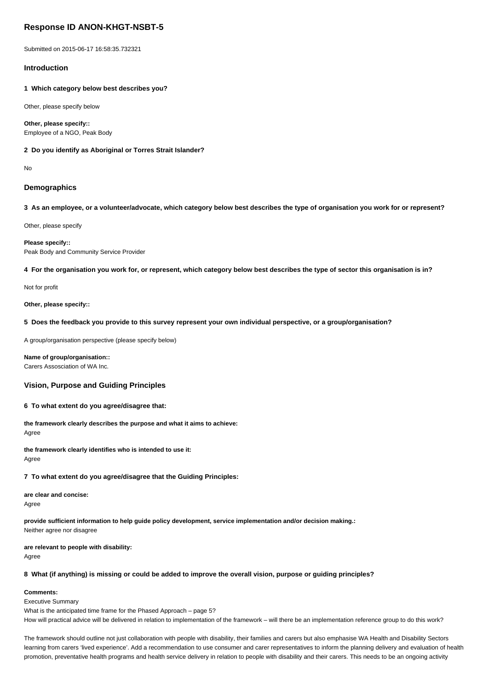# **Response ID ANON-KHGT-NSBT-5**

Submitted on 2015-06-17 16:58:35.732321

## **Introduction**

**1 Which category below best describes you?**

Other, please specify below

**Other, please specify::** Employee of a NGO, Peak Body

**2 Do you identify as Aboriginal or Torres Strait Islander?**

No

## **Demographics**

**3 As an employee, or a volunteer/advocate, which category below best describes the type of organisation you work for or represent?**

Other, please specify

**Please specify::** Peak Body and Community Service Provider

**4 For the organisation you work for, or represent, which category below best describes the type of sector this organisation is in?**

Not for profit

**Other, please specify::**

**5 Does the feedback you provide to this survey represent your own individual perspective, or a group/organisation?**

A group/organisation perspective (please specify below)

**Name of group/organisation::** Carers Assosciation of WA Inc.

## **Vision, Purpose and Guiding Principles**

**6 To what extent do you agree/disagree that:**

**the framework clearly describes the purpose and what it aims to achieve:** Agree

**the framework clearly identifies who is intended to use it:** Agree

## **7 To what extent do you agree/disagree that the Guiding Principles:**

**are clear and concise:**

Agree

**provide sufficient information to help guide policy development, service implementation and/or decision making.:** Neither agree nor disagree

**are relevant to people with disability:**

Agree

**8 What (if anything) is missing or could be added to improve the overall vision, purpose or guiding principles?**

### **Comments:**

Executive Summary

What is the anticipated time frame for the Phased Approach – page 5? How will practical advice will be delivered in relation to implementation of the framework – will there be an implementation reference group to do this work?

The framework should outline not just collaboration with people with disability, their families and carers but also emphasise WA Health and Disability Sectors learning from carers 'lived experience'. Add a recommendation to use consumer and carer representatives to inform the planning delivery and evaluation of health promotion, preventative health programs and health service delivery in relation to people with disability and their carers. This needs to be an ongoing activity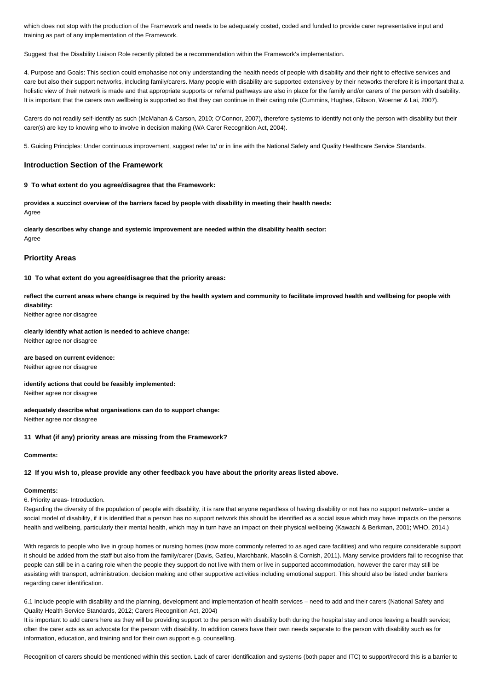which does not stop with the production of the Framework and needs to be adequately costed, coded and funded to provide carer representative input and training as part of any implementation of the Framework.

Suggest that the Disability Liaison Role recently piloted be a recommendation within the Framework's implementation.

4. Purpose and Goals: This section could emphasise not only understanding the health needs of people with disability and their right to effective services and care but also their support networks, including family/carers. Many people with disability are supported extensively by their networks therefore it is important that a holistic view of their network is made and that appropriate supports or referral pathways are also in place for the family and/or carers of the person with disability. It is important that the carers own wellbeing is supported so that they can continue in their caring role (Cummins, Hughes, Gibson, Woerner & Lai, 2007).

Carers do not readily self-identify as such (McMahan & Carson, 2010; O'Connor, 2007), therefore systems to identify not only the person with disability but their carer(s) are key to knowing who to involve in decision making (WA Carer Recognition Act, 2004).

5. Guiding Principles: Under continuous improvement, suggest refer to/ or in line with the National Safety and Quality Healthcare Service Standards.

## **Introduction Section of the Framework**

#### **9 To what extent do you agree/disagree that the Framework:**

**provides a succinct overview of the barriers faced by people with disability in meeting their health needs:** Agree

**clearly describes why change and systemic improvement are needed within the disability health sector:** Agree

#### **Priortity Areas**

**10 To what extent do you agree/disagree that the priority areas:**

**reflect the current areas where change is required by the health system and community to facilitate improved health and wellbeing for people with disability:**

Neither agree nor disagree

## **clearly identify what action is needed to achieve change:**

Neither agree nor disagree

# **are based on current evidence:**

Neither agree nor disagree

# **identify actions that could be feasibly implemented:**

Neither agree nor disagree

## **adequately describe what organisations can do to support change:**

Neither agree nor disagree

## **11 What (if any) priority areas are missing from the Framework?**

#### **Comments:**

### **12 If you wish to, please provide any other feedback you have about the priority areas listed above.**

#### **Comments:**

## 6. Priority areas- Introduction.

Regarding the diversity of the population of people with disability, it is rare that anyone regardless of having disability or not has no support network– under a social model of disability, if it is identified that a person has no support network this should be identified as a social issue which may have impacts on the persons health and wellbeing, particularly their mental health, which may in turn have an impact on their physical wellbeing (Kawachi & Berkman, 2001; WHO, 2014.)

With regards to people who live in group homes or nursing homes (now more commonly referred to as aged care facilities) and who require considerable support it should be added from the staff but also from the family/carer (Davis, Gatleu, Marchbank, Masolin & Cornish, 2011). Many service providers fail to recognise that people can still be in a caring role when the people they support do not live with them or live in supported accommodation, however the carer may still be assisting with transport, administration, decision making and other supportive activities including emotional support. This should also be listed under barriers regarding carer identification.

6.1 Include people with disability and the planning, development and implementation of health services – need to add and their carers (National Safety and Quality Health Service Standards, 2012; Carers Recognition Act, 2004)

It is important to add carers here as they will be providing support to the person with disability both during the hospital stay and once leaving a health service; often the carer acts as an advocate for the person with disability. In addition carers have their own needs separate to the person with disability such as for information, education, and training and for their own support e.g. counselling.

Recognition of carers should be mentioned within this section. Lack of carer identification and systems (both paper and ITC) to support/record this is a barrier to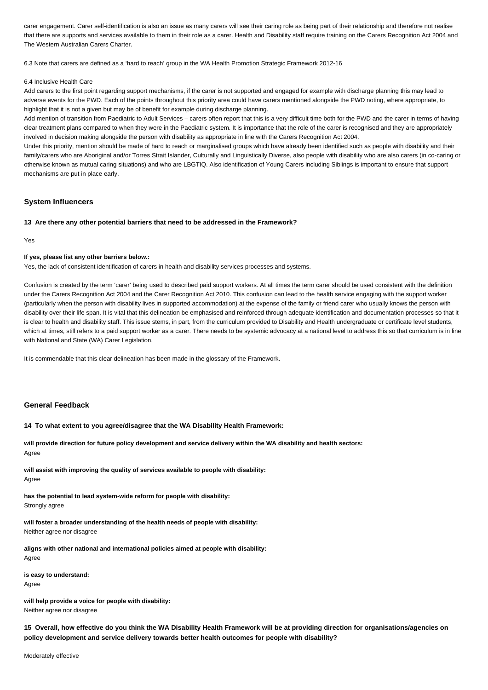carer engagement. Carer self-identification is also an issue as many carers will see their caring role as being part of their relationship and therefore not realise that there are supports and services available to them in their role as a carer. Health and Disability staff require training on the Carers Recognition Act 2004 and The Western Australian Carers Charter.

6.3 Note that carers are defined as a 'hard to reach' group in the WA Health Promotion Strategic Framework 2012-16

#### 6.4 Inclusive Health Care

Add carers to the first point regarding support mechanisms, if the carer is not supported and engaged for example with discharge planning this may lead to adverse events for the PWD. Each of the points throughout this priority area could have carers mentioned alongside the PWD noting, where appropriate, to highlight that it is not a given but may be of benefit for example during discharge planning.

Add mention of transition from Paediatric to Adult Services – carers often report that this is a very difficult time both for the PWD and the carer in terms of having clear treatment plans compared to when they were in the Paediatric system. It is importance that the role of the carer is recognised and they are appropriately involved in decision making alongside the person with disability as appropriate in line with the Carers Recognition Act 2004.

Under this priority, mention should be made of hard to reach or marginalised groups which have already been identified such as people with disability and their family/carers who are Aboriginal and/or Torres Strait Islander, Culturally and Linguistically Diverse, also people with disability who are also carers (in co-caring or otherwise known as mutual caring situations) and who are LBGTIQ. Also identification of Young Carers including Siblings is important to ensure that support mechanisms are put in place early.

## **System Influencers**

#### **13 Are there any other potential barriers that need to be addressed in the Framework?**

Yes

#### **If yes, please list any other barriers below.:**

Yes, the lack of consistent identification of carers in health and disability services processes and systems.

Confusion is created by the term 'carer' being used to described paid support workers. At all times the term carer should be used consistent with the definition under the Carers Recognition Act 2004 and the Carer Recognition Act 2010. This confusion can lead to the health service engaging with the support worker (particularly when the person with disability lives in supported accommodation) at the expense of the family or friend carer who usually knows the person with disability over their life span. It is vital that this delineation be emphasised and reinforced through adequate identification and documentation processes so that it is clear to health and disability staff. This issue stems, in part, from the curriculum provided to Disability and Health undergraduate or certificate level students, which at times, still refers to a paid support worker as a carer. There needs to be systemic advocacy at a national level to address this so that curriculum is in line with National and State (WA) Carer Legislation.

It is commendable that this clear delineation has been made in the glossary of the Framework.

## **General Feedback**

## **14 To what extent to you agree/disagree that the WA Disability Health Framework:**

**will provide direction for future policy development and service delivery within the WA disability and health sectors:** Agree

**will assist with improving the quality of services available to people with disability:** Agree

**has the potential to lead system-wide reform for people with disability:** Strongly agree

**will foster a broader understanding of the health needs of people with disability:**

Neither agree nor disagree

**aligns with other national and international policies aimed at people with disability:** Agree

**is easy to understand:**

Agree

**will help provide a voice for people with disability:** Neither agree nor disagree

**15 Overall, how effective do you think the WA Disability Health Framework will be at providing direction for organisations/agencies on policy development and service delivery towards better health outcomes for people with disability?**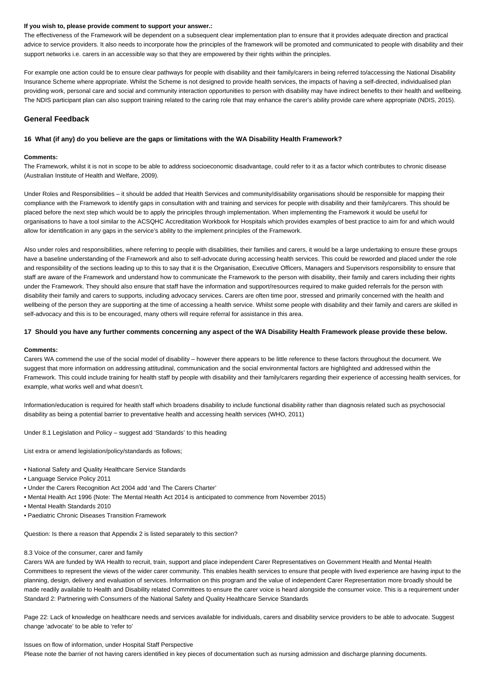#### **If you wish to, please provide comment to support your answer.:**

The effectiveness of the Framework will be dependent on a subsequent clear implementation plan to ensure that it provides adequate direction and practical advice to service providers. It also needs to incorporate how the principles of the framework will be promoted and communicated to people with disability and their support networks i.e. carers in an accessible way so that they are empowered by their rights within the principles.

For example one action could be to ensure clear pathways for people with disability and their family/carers in being referred to/accessing the National Disability Insurance Scheme where appropriate. Whilst the Scheme is not designed to provide health services, the impacts of having a self-directed, individualised plan providing work, personal care and social and community interaction opportunities to person with disability may have indirect benefits to their health and wellbeing. The NDIS participant plan can also support training related to the caring role that may enhance the carer's ability provide care where appropriate (NDIS, 2015).

## **General Feedback**

## **16 What (if any) do you believe are the gaps or limitations with the WA Disability Health Framework?**

#### **Comments:**

The Framework, whilst it is not in scope to be able to address socioeconomic disadvantage, could refer to it as a factor which contributes to chronic disease (Australian Institute of Health and Welfare, 2009).

Under Roles and Responsibilities – it should be added that Health Services and community/disability organisations should be responsible for mapping their compliance with the Framework to identify gaps in consultation with and training and services for people with disability and their family/carers. This should be placed before the next step which would be to apply the principles through implementation. When implementing the Framework it would be useful for organisations to have a tool similar to the ACSQHC Accreditation Workbook for Hospitals which provides examples of best practice to aim for and which would allow for identification in any gaps in the service's ability to the implement principles of the Framework.

Also under roles and responsibilities, where referring to people with disabilities, their families and carers, it would be a large undertaking to ensure these groups have a baseline understanding of the Framework and also to self-advocate during accessing health services. This could be reworded and placed under the role and responsibility of the sections leading up to this to say that it is the Organisation, Executive Officers, Managers and Supervisors responsibility to ensure that staff are aware of the Framework and understand how to communicate the Framework to the person with disability, their family and carers including their rights under the Framework. They should also ensure that staff have the information and support/resources required to make guided referrals for the person with disability their family and carers to supports, including advocacy services. Carers are often time poor, stressed and primarily concerned with the health and wellbeing of the person they are supporting at the time of accessing a health service. Whilst some people with disability and their family and carers are skilled in self-advocacy and this is to be encouraged, many others will require referral for assistance in this area.

#### **17 Should you have any further comments concerning any aspect of the WA Disability Health Framework please provide these below.**

#### **Comments:**

Carers WA commend the use of the social model of disability – however there appears to be little reference to these factors throughout the document. We suggest that more information on addressing attitudinal, communication and the social environmental factors are highlighted and addressed within the Framework. This could include training for health staff by people with disability and their family/carers regarding their experience of accessing health services, for example, what works well and what doesn't.

Information/education is required for health staff which broadens disability to include functional disability rather than diagnosis related such as psychosocial disability as being a potential barrier to preventative health and accessing health services (WHO, 2011)

Under 8.1 Legislation and Policy – suggest add 'Standards' to this heading

List extra or amend legislation/policy/standards as follows;

- National Safety and Quality Healthcare Service Standards
- Language Service Policy 2011
- Under the Carers Recognition Act 2004 add 'and The Carers Charter'
- Mental Health Act 1996 (Note: The Mental Health Act 2014 is anticipated to commence from November 2015)
- Mental Health Standards 2010
- Paediatric Chronic Diseases Transition Framework

Question: Is there a reason that Appendix 2 is listed separately to this section?

#### 8.3 Voice of the consumer, carer and family

Carers WA are funded by WA Health to recruit, train, support and place independent Carer Representatives on Government Health and Mental Health Committees to represent the views of the wider carer community. This enables health services to ensure that people with lived experience are having input to the planning, design, delivery and evaluation of services. Information on this program and the value of independent Carer Representation more broadly should be made readily available to Health and Disability related Committees to ensure the carer voice is heard alongside the consumer voice. This is a requirement under Standard 2: Partnering with Consumers of the National Safety and Quality Healthcare Service Standards

Page 22: Lack of knowledge on healthcare needs and services available for individuals, carers and disability service providers to be able to advocate. Suggest change 'advocate' to be able to 'refer to'

## Issues on flow of information, under Hospital Staff Perspective

Please note the barrier of not having carers identified in key pieces of documentation such as nursing admission and discharge planning documents.